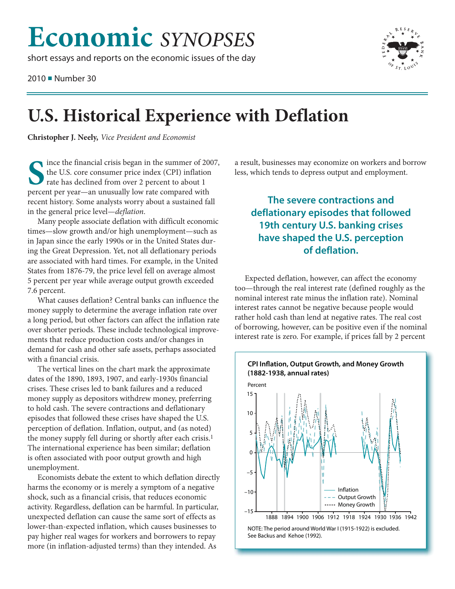## **Economic** *SYNOPSES*

short essays and reports on the economic issues of the day

2010 ■ Number 30



## **U.S. Historical Experience with Deflation**

**Christopher J. Neely,** *Vice President and Economist*

**S** ince the financial crisis began in the summer of 2007, the U.S. core consumer price index (CPI) inflation rate has declined from over 2 percent to about 1 percent per year—an unusually low rate compared with recent history. Some analysts worry about a sustained fall in the general price level—*deflation*.

Many people associate deflation with difficult economic times—slow growth and/or high unemployment—such as in Japan since the early 1990s or in the United States during the Great Depression. Yet, not all deflationary periods are associated with hard times. For example, in the United States from 1876-79, the price level fell on average almost 5 percent per year while average output growth exceeded 7.6 percent.

What causes deflation? Central banks can influence the money supply to determine the average inflation rate over a long period, but other factors can affect the inflation rate over shorter periods. These include technological improvements that reduce production costs and/or changes in demand for cash and other safe assets, perhaps associated with a financial crisis.

The vertical lines on the chart mark the approximate dates of the 1890, 1893, 1907, and early-1930s financial crises. These crises led to bank failures and a reduced money supply as depositors withdrew money, preferring to hold cash. The severe contractions and deflationary episodes that followed these crises have shaped the U.S. perception of deflation. Inflation, output, and (as noted) the money supply fell during or shortly after each crisis.<sup>1</sup> The international experience has been similar; deflation is often associated with poor output growth and high unemployment.

Economists debate the extent to which deflation directly harms the economy or is merely a symptom of a negative shock, such as a financial crisis, that reduces economic activity. Regardless, deflation can be harmful. In particular, unexpected deflation can cause the same sort of effects as lower-than-expected inflation, which causes businesses to pay higher real wages for workers and borrowers to repay more (in inflation-adjusted terms) than they intended. As

a result, businesses may economize on workers and borrow less, which tends to depress output and employment.

## **The severe contractions and deflationary episodes that followed 19th century U.S. banking crises have shaped the U.S. perception of deflation.**

Expected deflation, however, can affect the economy too—through the real interest rate (defined roughly as the nominal interest rate minus the inflation rate). Nominal interest rates cannot be negative because people would rather hold cash than lend at negative rates. The real cost of borrowing, however, can be positive even if the nominal interest rate is zero. For example, if prices fall by 2 percent